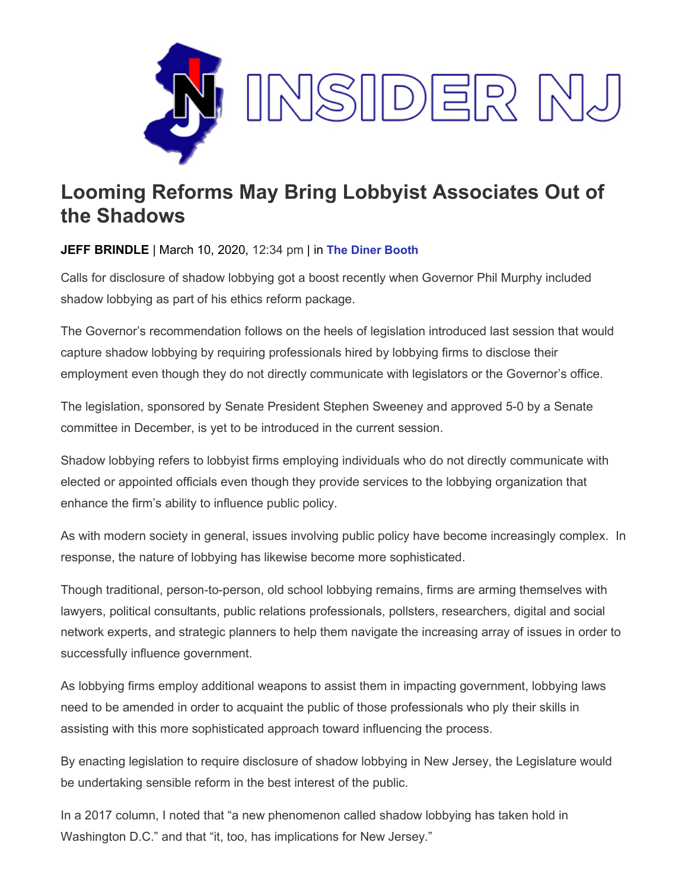

## **Looming Reforms May Bring Lobbyist Associates Out of the Shadows**

## **JEFF BRINDLE** | March 10, 2020, 12:34 pm | in **[The Diner Booth](https://www.insidernj.com/category/the-diner-booth/)**

Calls for disclosure of shadow lobbying got a boost recently when Governor Phil Murphy included shadow lobbying as part of his ethics reform package.

The Governor's recommendation follows on the heels of legislation introduced last session that would capture shadow lobbying by requiring professionals hired by lobbying firms to disclose their employment even though they do not directly communicate with legislators or the Governor's office.

The legislation, sponsored by Senate President Stephen Sweeney and approved 5-0 by a Senate committee in December, is yet to be introduced in the current session.

Shadow lobbying refers to lobbyist firms employing individuals who do not directly communicate with elected or appointed officials even though they provide services to the lobbying organization that enhance the firm's ability to influence public policy.

As with modern society in general, issues involving public policy have become increasingly complex. In response, the nature of lobbying has likewise become more sophisticated.

Though traditional, person-to-person, old school lobbying remains, firms are arming themselves with lawyers, political consultants, public relations professionals, pollsters, researchers, digital and social network experts, and strategic planners to help them navigate the increasing array of issues in order to successfully influence government.

As lobbying firms employ additional weapons to assist them in impacting government, lobbying laws need to be amended in order to acquaint the public of those professionals who ply their skills in assisting with this more sophisticated approach toward influencing the process.

By enacting legislation to require disclosure of shadow lobbying in New Jersey, the Legislature would be undertaking sensible reform in the best interest of the public.

In a 2017 column, I noted that "a new phenomenon called shadow lobbying has taken hold in Washington D.C." and that "it, too, has implications for New Jersey."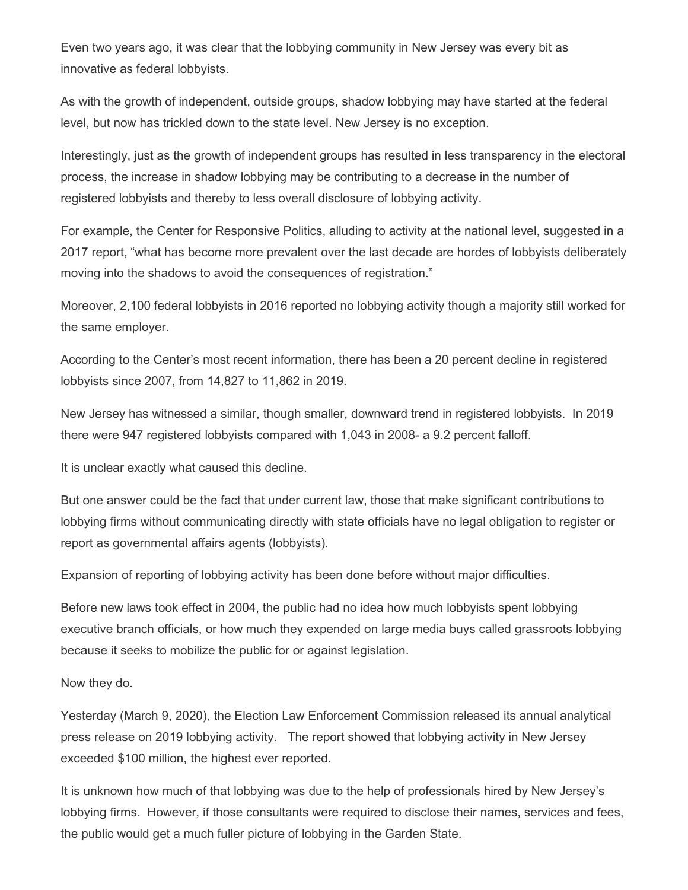Even two years ago, it was clear that the lobbying community in New Jersey was every bit as innovative as federal lobbyists.

As with the growth of independent, outside groups, shadow lobbying may have started at the federal level, but now has trickled down to the state level. New Jersey is no exception.

Interestingly, just as the growth of independent groups has resulted in less transparency in the electoral process, the increase in shadow lobbying may be contributing to a decrease in the number of registered lobbyists and thereby to less overall disclosure of lobbying activity.

For example, the Center for Responsive Politics, alluding to activity at the national level, suggested in a 2017 report, "what has become more prevalent over the last decade are hordes of lobbyists deliberately moving into the shadows to avoid the consequences of registration."

Moreover, 2,100 federal lobbyists in 2016 reported no lobbying activity though a majority still worked for the same employer.

According to the Center's most recent information, there has been a 20 percent decline in registered lobbyists since 2007, from 14,827 to 11,862 in 2019.

New Jersey has witnessed a similar, though smaller, downward trend in registered lobbyists. In 2019 there were 947 registered lobbyists compared with 1,043 in 2008- a 9.2 percent falloff.

It is unclear exactly what caused this decline.

But one answer could be the fact that under current law, those that make significant contributions to lobbying firms without communicating directly with state officials have no legal obligation to register or report as governmental affairs agents (lobbyists).

Expansion of reporting of lobbying activity has been done before without major difficulties.

Before new laws took effect in 2004, the public had no idea how much lobbyists spent lobbying executive branch officials, or how much they expended on large media buys called grassroots lobbying because it seeks to mobilize the public for or against legislation.

Now they do.

Yesterday (March 9, 2020), the Election Law Enforcement Commission released its annual analytical press release on 2019 lobbying activity. The report showed that lobbying activity in New Jersey exceeded \$100 million, the highest ever reported.

It is unknown how much of that lobbying was due to the help of professionals hired by New Jersey's lobbying firms. However, if those consultants were required to disclose their names, services and fees, the public would get a much fuller picture of lobbying in the Garden State.